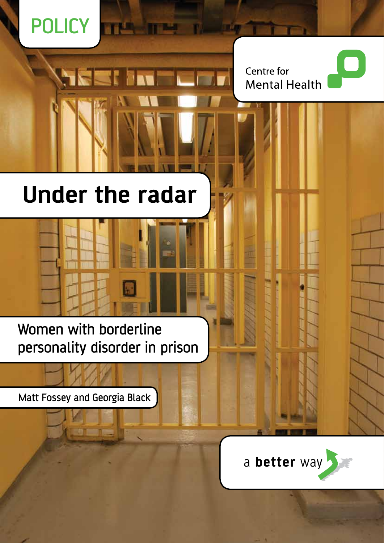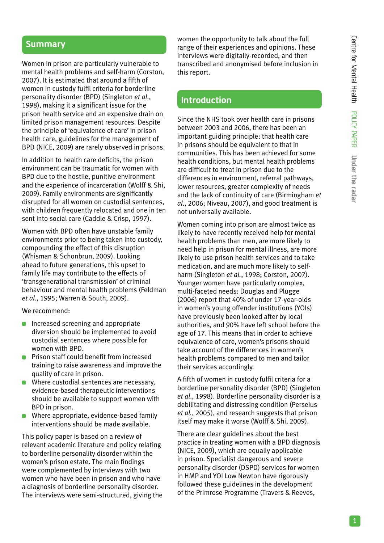## **Summary**

Women in prison are particularly vulnerable to mental health problems and self-harm (Corston, 2007). It is estimated that around a fifth of women in custody fulfil criteria for borderline personality disorder (BPD) (Singleton *et al*., 1998), making it a significant issue for the prison health service and an expensive drain on limited prison management resources. Despite the principle of 'equivalence of care' in prison health care, guidelines for the management of BPD (NICE, 2009) are rarely observed in prisons.

In addition to health care deficits, the prison environment can be traumatic for women with BPD due to the hostile, punitive environment and the experience of incarceration (Wolff & Shi, 2009). Family environments are significantly disrupted for all women on custodial sentences, with children frequently relocated and one in ten sent into social care (Caddle & Crisp, 1997).

Women with BPD often have unstable family environments prior to being taken into custody, compounding the effect of this disruption (Whisman & Schonbrun, 2009). Looking ahead to future generations, this upset to family life may contribute to the effects of 'transgenerational transmission' of criminal behaviour and mental health problems (Feldman *et al.*, 1995; Warren & South, 2009).

We recommend:

- **Increased screening and appropriate** diversion should be implemented to avoid custodial sentences where possible for women with BPD.
- **Prison staff could benefit from increased** training to raise awareness and improve the quality of care in prison.
- Where custodial sentences are necessary. evidence-based therapeutic interventions should be available to support women with BPD in prison.
- Where appropriate, evidence-based family interventions should be made available.

This policy paper is based on a review of relevant academic literature and policy relating to borderline personality disorder within the women's prison estate. The main findings were complemented by interviews with two women who have been in prison and who have a diagnosis of borderline personality disorder. The interviews were semi-structured, giving the women the opportunity to talk about the full range of their experiences and opinions. These interviews were digitally-recorded, and then transcribed and anonymised before inclusion in this report.

## **Introduction**

Since the NHS took over health care in prisons between 2003 and 2006, there has been an important guiding principle: that health care in prisons should be equivalent to that in communities. This has been achieved for some health conditions, but mental health problems are difficult to treat in prison due to the differences in environment, referral pathways, lower resources, greater complexity of needs and the lack of continuity of care (Birmingham *et al*., 2006; Niveau, 2007), and good treatment is not universally available.

Women coming into prison are almost twice as likely to have recently received help for mental health problems than men, are more likely to need help in prison for mental illness, are more likely to use prison health services and to take medication, and are much more likely to selfharm (Singleton *et al.*, 1998; Corston, 2007). Younger women have particularly complex, multi-faceted needs: Douglas and Plugge (2006) report that 40% of under 17-year-olds in women's young offender institutions (YOIs) have previously been looked after by local authorities, and 90% have left school before the age of 17. This means that in order to achieve equivalence of care, women's prisons should take account of the differences in women's health problems compared to men and tailor their services accordingly.

A fifth of women in custody fulfil criteria for a borderline personality disorder (BPD) (Singleton *et al*., 1998). Borderline personality disorder is a debilitating and distressing condition (Perseius *et al.*, 2005), and research suggests that prison itself may make it worse (Wolff & Shi, 2009).

There are clear guidelines about the best practice in treating women with a BPD diagnosis (NICE, 2009), which are equally applicable in prison. Specialist dangerous and severe personality disorder (DSPD) services for women in HMP and YOI Low Newton have rigorously followed these guidelines in the development of the Primrose Programme (Travers & Reeves,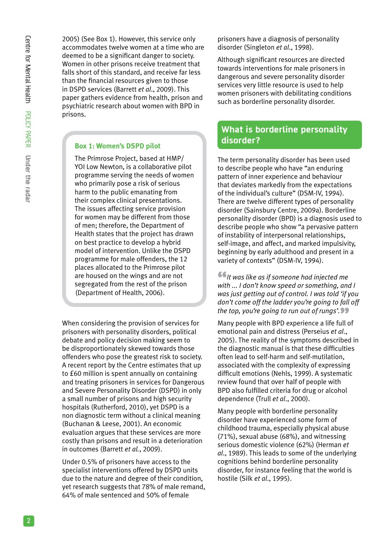2005) (See Box 1). However, this service only accommodates twelve women at a time who are deemed to be a significant danger to society. Women in other prisons receive treatment that falls short of this standard, and receive far less than the financial resources given to those in DSPD services (Barrett *et al*., 2009). This paper gathers evidence from health, prison and psychiatric research about women with BPD in prisons.

#### **Box 1: Women's DSPD pilot**

The Primrose Project, based at HMP/ YOI Low Newton, is a collaborative pilot programme serving the needs of women who primarily pose a risk of serious harm to the public emanating from their complex clinical presentations. The issues affecting service provision for women may be different from those of men; therefore, the Department of Health states that the project has drawn on best practice to develop a hybrid model of intervention. Unlike the DSPD programme for male offenders, the 12 places allocated to the Primrose pilot are housed on the wings and are not segregated from the rest of the prison (Department of Health, 2006).

When considering the provision of services for prisoners with personality disorders, political debate and policy decision making seem to be disproportionately skewed towards those offenders who pose the greatest risk to society. A recent report by the Centre estimates that up to £60 million is spent annually on containing and treating prisoners in services for Dangerous and Severe Personality Disorder (DSPD) in only a small number of prisons and high security hospitals (Rutherford, 2010), yet DSPD is a non diagnostic term without a clinical meaning (Buchanan & Leese, 2001). An economic evaluation argues that these services are more costly than prisons and result in a deterioration in outcomes (Barrett *et al.*, 2009).

Under 0.5% of prisoners have access to the specialist interventions offered by DSPD units due to the nature and degree of their condition, yet research suggests that 78% of male remand, 64% of male sentenced and 50% of female

prisoners have a diagnosis of personality disorder (Singleton *et al*., 1998).

Although significant resources are directed towards interventions for male prisoners in dangerous and severe personality disorder services very little resource is used to help women prisoners with debilitating conditions such as borderline personality disorder.

# **What is borderline personality disorder?**

The term personality disorder has been used to describe people who have "an enduring pattern of inner experience and behaviour that deviates markedly from the expectations of the individual's culture" (DSM-IV, 1994). There are twelve different types of personality disorder (Sainsbury Centre, 2009a). Borderline personality disorder (BPD) is a diagnosis used to describe people who show "a pervasive pattern of instability of interpersonal relationships, self-image, and affect, and marked impulsivity, beginning by early adulthood and present in a variety of contexts" (DSM-IV, 1994).

 $\bullet$  It was like as if someone had injected me *with ... I don't know speed or something, and I was just getting out of control. I was told 'if you don't come off the ladder you're going to fall off the top, you're going to run out of rungs'.*"

Many people with BPD experience a life full of emotional pain and distress (Perseius *et al*., 2005). The reality of the symptoms described in the diagnostic manual is that these difficulties often lead to self-harm and self-mutilation, associated with the complexity of expressing difficult emotions (Nehls, 1999). A systematic review found that over half of people with BPD also fulfilled criteria for drug or alcohol dependence (Trull *et al*., 2000).

Many people with borderline personality disorder have experienced some form of childhood trauma, especially physical abuse (71%), sexual abuse (68%), and witnessing serious domestic violence (62%) (Herman *et al*., 1989). This leads to some of the underlying cognitions behind borderline personality disorder, for instance feeling that the world is hostile (Silk *et al*., 1995).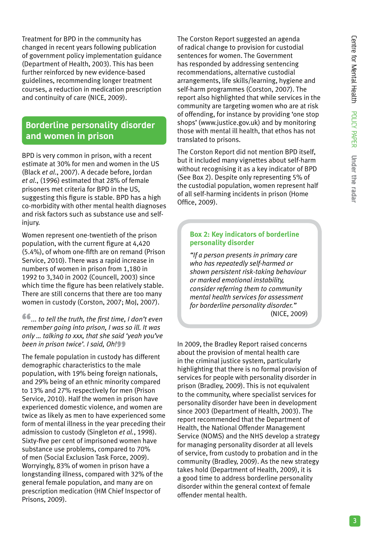Treatment for BPD in the community has changed in recent years following publication of government policy implementation guidance (Department of Health, 2003). This has been further reinforced by new evidence-based guidelines, recommending longer treatment courses, a reduction in medication prescription and continuity of care (NICE, 2009).

# **Borderline personality disorder and women in prison**

BPD is very common in prison, with a recent estimate at 30% for men and women in the US (Black *et al*., 2007). A decade before, Jordan *et al*., (1996) estimated that 28% of female prisoners met criteria for BPD in the US, suggesting this figure is stable. BPD has a high co-morbidity with other mental health diagnoses and risk factors such as substance use and selfinjury.

Women represent one-twentieth of the prison population, with the current figure at 4,420 (5.4%), of whom one-fifth are on remand (Prison Service, 2010). There was a rapid increase in numbers of women in prison from 1,180 in 1992 to 3,340 in 2002 (Councell, 2003) since which time the figure has been relatively stable. There are still concerns that there are too many women in custody (Corston, 2007; MoJ, 2007).

 $\bullet$ ... to tell the truth, the first time, I don't even *remember going into prison, I was so ill. It was only … talking to xxx, that she said 'yeah you've been in prison twice'. I said, Oh!*  $\bullet$ 

The female population in custody has different demographic characteristics to the male population, with 19% being foreign nationals, and 29% being of an ethnic minority compared to 13% and 27% respectively for men (Prison Service, 2010). Half the women in prison have experienced domestic violence, and women are twice as likely as men to have experienced some form of mental illness in the year preceding their admission to custody (Singleton *et al.*, 1998). Sixty-five per cent of imprisoned women have substance use problems, compared to 70% of men (Social Exclusion Task Force, 2009). Worryingly, 83% of women in prison have a longstanding illness, compared with 32% of the general female population, and many are on prescription medication (HM Chief Inspector of Prisons, 2009).

The Corston Report suggested an agenda of radical change to provision for custodial sentences for women. The Government has responded by addressing sentencing recommendations, alternative custodial arrangements, life skills/learning, hygiene and self-harm programmes (Corston, 2007). The report also highlighted that while services in the community are targeting women who are at risk of offending, for instance by providing 'one stop shops' (www.justice.gov.uk) and by monitoring those with mental ill health, that ethos has not translated to prisons.

The Corston Report did not mention BPD itself, but it included many vignettes about self-harm without recognising it as a key indicator of BPD (See Box 2). Despite only representing 5% of the custodial population, women represent half of all self-harming incidents in prison (Home Office, 2009).

#### **Box 2: Key indicators of borderline personality disorder**

*"If a person presents in primary care who has repeatedly self-harmed or shown persistent risk-taking behaviour or marked emotional instability, consider referring them to community mental health services for assessment for borderline personality disorder."*  (NICE, 2009)

In 2009, the Bradley Report raised concerns about the provision of mental health care in the criminal justice system, particularly highlighting that there is no formal provision of services for people with personality disorder in prison (Bradley, 2009). This is not equivalent to the community, where specialist services for personality disorder have been in development since 2003 (Department of Health, 2003). The report recommended that the Department of Health, the National Offender Management Service (NOMS) and the NHS develop a strategy for managing personality disorder at all levels of service, from custody to probation and in the community (Bradley, 2009). As the new strategy takes hold (Department of Health, 2009), it is a good time to address borderline personality disorder within the general context of female offender mental health.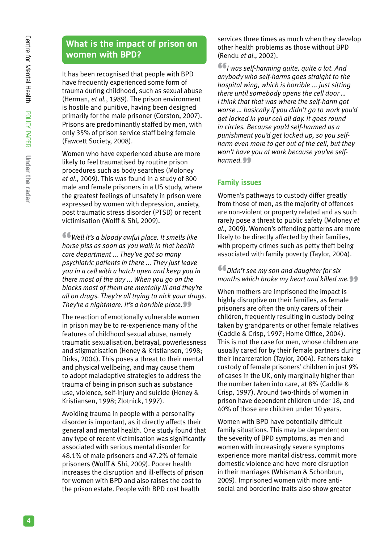# **What is the impact of prison on women with BPD?**

It has been recognised that people with BPD have frequently experienced some form of trauma during childhood, such as sexual abuse (Herman, *et al.*, 1989). The prison environment is hostile and punitive, having been designed primarily for the male prisoner (Corston, 2007). Prisons are predominantly staffed by men, with only 35% of prison service staff being female (Fawcett Society, 2008).

Women who have experienced abuse are more likely to feel traumatised by routine prison procedures such as body searches (Moloney *et al*., 2009). This was found in a study of 800 male and female prisoners in a US study, where the greatest feelings of unsafety in prison were expressed by women with depression, anxiety, post traumatic stress disorder (PTSD) or recent victimisation (Wolff & Shi, 2009).

"*Well it's a bloody awful place. It smells like horse piss as soon as you walk in that health care department ... They've got so many psychiatric patients in there ... They just leave you in a cell with a hatch open and keep you in there most of the day ... When you go on the blocks most of them are mentally ill and they're all on drugs. They're all trying to nick your drugs. They're a nightmare. It's a horrible place.* 

The reaction of emotionally vulnerable women in prison may be to re-experience many of the features of childhood sexual abuse, namely traumatic sexualisation, betrayal, powerlessness and stigmatisation (Heney & Kristiansen, 1998; Dirks, 2004). This poses a threat to their mental and physical wellbeing, and may cause them to adopt maladaptive strategies to address the trauma of being in prison such as substance use, violence, self-injury and suicide (Heney & Kristiansen, 1998; Zlotnick, 1997).

Avoiding trauma in people with a personality disorder is important, as it directly affects their general and mental health. One study found that any type of recent victimisation was significantly associated with serious mental disorder for 48.1% of male prisoners and 47.2% of female prisoners (Wolff & Shi, 2009). Poorer health increases the disruption and ill-effects of prison for women with BPD and also raises the cost to the prison estate. People with BPD cost health

services three times as much when they develop other health problems as those without BPD (Rendu *et al*., 2002).

"*I was self-harming quite, quite a lot. And anybody who self-harms goes straight to the hospital wing, which is horrible ... just sitting there until somebody opens the cell door … I think that that was where the self-harm got worse … basically if you didn't go to work you'd get locked in your cell all day. It goes round in circles. Because you'd self-harmed as a punishment you'd get locked up, so you selfharm even more to get out of the cell, but they won't have you at work because you've self*harmed.<sup>99</sup>

## **Family issues**

Women's pathways to custody differ greatly from those of men, as the majority of offences are non-violent or property related and as such rarely pose a threat to public safety (Moloney *et al*., 2009). Women's offending patterns are more likely to be directly affected by their families, with property crimes such as petty theft being associated with family poverty (Taylor, 2004).

#### "*Didn't see my son and daughter for six months which broke my heart and killed me.*

When mothers are imprisoned the impact is highly disruptive on their families, as female prisoners are often the only carers of their children, frequently resulting in custody being taken by grandparents or other female relatives (Caddle & Crisp, 1997; Home Office, 2004). This is not the case for men, whose children are usually cared for by their female partners during their incarceration (Taylor, 2004). Fathers take custody of female prisoners' children in just 9% of cases in the UK, only marginally higher than the number taken into care, at 8% (Caddle & Crisp, 1997). Around two-thirds of women in prison have dependent children under 18, and 40% of those are children under 10 years.

Women with BPD have potentially difficult family situations. This may be dependent on the severity of BPD symptoms, as men and women with increasingly severe symptoms experience more marital distress, commit more domestic violence and have more disruption in their marriages (Whisman & Schonbrun, 2009). Imprisoned women with more antisocial and borderline traits also show greater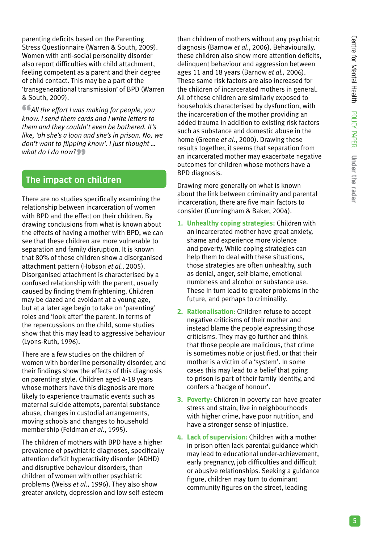parenting deficits based on the Parenting Stress Questionnaire (Warren & South, 2009). Women with anti-social personality disorder also report difficulties with child attachment, feeling competent as a parent and their degree of child contact. This may be a part of the 'transgenerational transmission' of BPD (Warren & South, 2009).

"*All the effort I was making for people, you know. I send them cards and I write letters to them and they couldn't even be bothered. It's like, 'oh she's a loon and she's in prison. No, we don't want to flipping know'. I just thought …*  what do I do now?<sup>99</sup>

# **The impact on children**

There are no studies specifically examining the relationship between incarceration of women with BPD and the effect on their children. By drawing conclusions from what is known about the effects of having a mother with BPD, we can see that these children are more vulnerable to separation and family disruption. It is known that 80% of these children show a disorganised attachment pattern (Hobson *et al.*, 2005). Disorganised attachment is characterised by a confused relationship with the parent, usually caused by finding them frightening. Children may be dazed and avoidant at a young age, but at a later age begin to take on 'parenting' roles and 'look after' the parent. In terms of the repercussions on the child, some studies show that this may lead to aggressive behaviour (Lyons-Ruth, 1996).

There are a few studies on the children of women with borderline personality disorder, and their findings show the effects of this diagnosis on parenting style. Children aged 4-18 years whose mothers have this diagnosis are more likely to experience traumatic events such as maternal suicide attempts, parental substance abuse, changes in custodial arrangements, moving schools and changes to household membership (Feldman *et al*., 1995).

The children of mothers with BPD have a higher prevalence of psychiatric diagnoses, specifically attention deficit hyperactivity disorder (ADHD) and disruptive behaviour disorders, than children of women with other psychiatric problems (Weiss *et al*., 1996). They also show greater anxiety, depression and low self-esteem

than children of mothers without any psychiatric diagnosis (Barnow *et al*., 2006). Behaviourally, these children also show more attention deficits, delinquent behaviour and aggression between ages 11 and 18 years (Barnow *et al.,* 2006). These same risk factors are also increased for the children of incarcerated mothers in general. All of these children are similarly exposed to households characterised by dysfunction, with the incarceration of the mother providing an added trauma in addition to existing risk factors such as substance and domestic abuse in the home (Greene *et al*., 2000). Drawing these results together, it seems that separation from an incarcerated mother may exacerbate negative outcomes for children whose mothers have a BPD diagnosis.

Drawing more generally on what is known about the link between criminality and parental incarceration, there are five main factors to consider (Cunningham & Baker, 2004).

- **1. Unhealthy coping strategies:** Children with an incarcerated mother have great anxiety, shame and experience more violence and poverty. While coping strategies can help them to deal with these situations, those strategies are often unhealthy, such as denial, anger, self-blame, emotional numbness and alcohol or substance use. These in turn lead to greater problems in the future, and perhaps to criminality.
- **2. Rationalisation:** Children refuse to accept negative criticisms of their mother and instead blame the people expressing those criticisms. They may go further and think that those people are malicious, that crime is sometimes noble or justified, or that their mother is a victim of a 'system'. In some cases this may lead to a belief that going to prison is part of their family identity, and confers a 'badge of honour'.
- **3. Poverty:** Children in poverty can have greater stress and strain, live in neighbourhoods with higher crime, have poor nutrition, and have a stronger sense of injustice.
- **4. Lack of supervision:** Children with a mother in prison often lack parental guidance which may lead to educational under-achievement, early pregnancy, job difficulties and difficult or abusive relationships. Seeking a guidance figure, children may turn to dominant community figures on the street, leading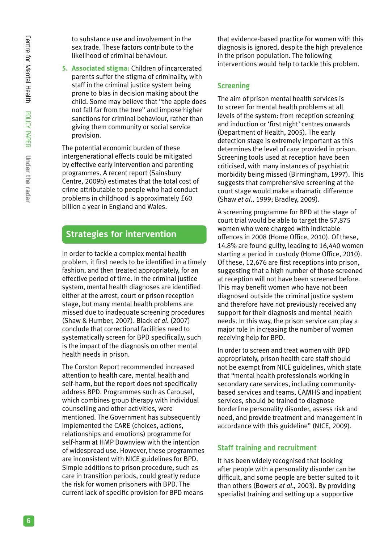to substance use and involvement in the sex trade. These factors contribute to the likelihood of criminal behaviour.

**5. Associated stigma:** Children of incarcerated parents suffer the stigma of criminality, with staff in the criminal justice system being prone to bias in decision making about the child. Some may believe that "the apple does not fall far from the tree" and impose higher sanctions for criminal behaviour, rather than giving them community or social service provision.

The potential economic burden of these intergenerational effects could be mitigated by effective early intervention and parenting programmes. A recent report (Sainsbury Centre, 2009b) estimates that the total cost of crime attributable to people who had conduct problems in childhood is approximately £60 billion a year in England and Wales.

# **Strategies for intervention**

In order to tackle a complex mental health problem, it first needs to be identified in a timely fashion, and then treated appropriately, for an effective period of time. In the criminal justice system, mental health diagnoses are identified either at the arrest, court or prison reception stage, but many mental health problems are missed due to inadequate screening procedures (Shaw & Humber, 2007). Black *et al*. (2007) conclude that correctional facilities need to systematically screen for BPD specifically, such is the impact of the diagnosis on other mental health needs in prison.

The Corston Report recommended increased attention to health care, mental health and self-harm, but the report does not specifically address BPD. Programmes such as Carousel, which combines group therapy with individual counselling and other activities, were mentioned. The Government has subsequently implemented the CARE (choices, actions, relationships and emotions) programme for self-harm at HMP Downview with the intention of widespread use. However, these programmes are inconsistent with NICE guidelines for BPD. Simple additions to prison procedure, such as care in transition periods, could greatly reduce the risk for women prisoners with BPD. The current lack of specific provision for BPD means

that evidence-based practice for women with this diagnosis is ignored, despite the high prevalence in the prison population. The following interventions would help to tackle this problem.

## **Screening**

The aim of prison mental health services is to screen for mental health problems at all levels of the system: from reception screening and induction or 'first night' centres onwards (Department of Health, 2005). The early detection stage is extremely important as this determines the level of care provided in prison. Screening tools used at reception have been criticised, with many instances of psychiatric morbidity being missed (Birmingham, 1997). This suggests that comprehensive screening at the court stage would make a dramatic difference (Shaw *et al*., 1999; Bradley, 2009).

A screening programme for BPD at the stage of court trial would be able to target the 57,875 women who were charged with indictable offences in 2008 (Home Office, 2010). Of these, 14.8% are found guilty, leading to 16,440 women starting a period in custody (Home Office, 2010). Of these, 12,676 are first receptions into prison, suggesting that a high number of those screened at reception will not have been screened before. This may benefit women who have not been diagnosed outside the criminal justice system and therefore have not previously received any support for their diagnosis and mental health needs. In this way, the prison service can play a major role in increasing the number of women receiving help for BPD.

In order to screen and treat women with BPD appropriately, prison health care staff should not be exempt from NICE guidelines, which state that "mental health professionals working in secondary care services, including communitybased services and teams, CAMHS and inpatient services, should be trained to diagnose borderline personality disorder, assess risk and need, and provide treatment and management in accordance with this guideline" (NICE, 2009).

## **Staff training and recruitment**

It has been widely recognised that looking after people with a personality disorder can be difficult, and some people are better suited to it than others (Bowers *et al*., 2003). By providing specialist training and setting up a supportive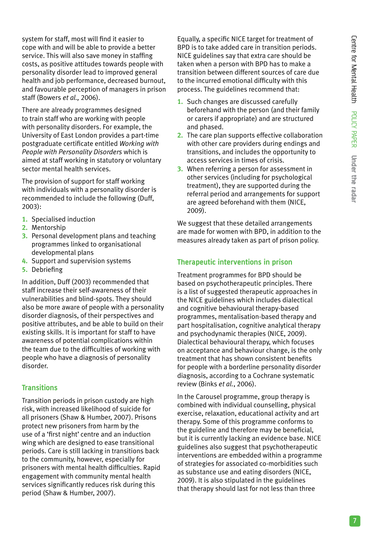system for staff, most will find it easier to cope with and will be able to provide a better service. This will also save money in staffing costs, as positive attitudes towards people with personality disorder lead to improved general health and job performance, decreased burnout, and favourable perception of managers in prison staff (Bowers *et al.,* 2006).

There are already programmes designed to train staff who are working with people with personality disorders. For example, the University of East London provides a part-time postgraduate certificate entitled *Working with People with Personality Disorders* which is aimed at staff working in statutory or voluntary sector mental health services.

The provision of support for staff working with individuals with a personality disorder is recommended to include the following (Duff, 2003):

- **1.** Specialised induction
- **2.** Mentorship
- **3.** Personal development plans and teaching programmes linked to organisational developmental plans
- **4.** Support and supervision systems
- **5.** Debriefing

In addition, Duff (2003) recommended that staff increase their self-awareness of their vulnerabilities and blind-spots. They should also be more aware of people with a personality disorder diagnosis, of their perspectives and positive attributes, and be able to build on their existing skills. It is important for staff to have awareness of potential complications within the team due to the difficulties of working with people who have a diagnosis of personality disorder.

## **Transitions**

Transition periods in prison custody are high risk, with increased likelihood of suicide for all prisoners (Shaw & Humber, 2007). Prisons protect new prisoners from harm by the use of a 'first night' centre and an induction wing which are designed to ease transitional periods. Care is still lacking in transitions back to the community, however, especially for prisoners with mental health difficulties. Rapid engagement with community mental health services significantly reduces risk during this period (Shaw & Humber, 2007).

Equally, a specific NICE target for treatment of BPD is to take added care in transition periods. NICE guidelines say that extra care should be taken when a person with BPD has to make a transition between different sources of care due to the incurred emotional difficulty with this process. The guidelines recommend that:

- **1.** Such changes are discussed carefully beforehand with the person (and their family or carers if appropriate) and are structured and phased.
- **2.** The care plan supports effective collaboration with other care providers during endings and transitions, and includes the opportunity to access services in times of crisis.
- **3.** When referring a person for assessment in other services (including for psychological treatment), they are supported during the referral period and arrangements for support are agreed beforehand with them (NICE, 2009).

We suggest that these detailed arrangements are made for women with BPD, in addition to the measures already taken as part of prison policy.

## **Therapeutic interventions in prison**

Treatment programmes for BPD should be based on psychotherapeutic principles. There is a list of suggested therapeutic approaches in the NICE guidelines which includes dialectical and cognitive behavioural therapy-based programmes, mentalisation-based therapy and part hospitalisation, cognitive analytical therapy and psychodynamic therapies (NICE, 2009). Dialectical behavioural therapy, which focuses on acceptance and behaviour change, is the only treatment that has shown consistent benefits for people with a borderline personality disorder diagnosis, according to a Cochrane systematic review (Binks *et al.*, 2006).

In the Carousel programme, group therapy is combined with individual counselling, physical exercise, relaxation, educational activity and art therapy. Some of this programme conforms to the guideline and therefore may be beneficial, but it is currently lacking an evidence base. NICE guidelines also suggest that psychotherapeutic interventions are embedded within a programme of strategies for associated co-morbidities such as substance use and eating disorders (NICE, 2009). It is also stipulated in the guidelines that therapy should last for not less than three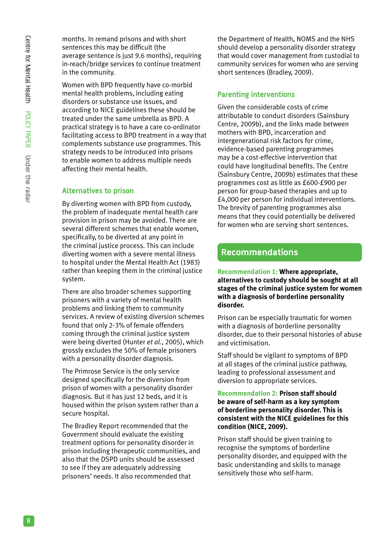months. In remand prisons and with short sentences this may be difficult (the average sentence is just 9.6 months), requiring in-reach/bridge services to continue treatment in the community.

Women with BPD frequently have co-morbid mental health problems, including eating disorders or substance use issues, and according to NICE guidelines these should be treated under the same umbrella as BPD. A practical strategy is to have a care co-ordinator facilitating access to BPD treatment in a way that complements substance use programmes. This strategy needs to be introduced into prisons to enable women to address multiple needs affecting their mental health.

## **Alternatives to prison**

By diverting women with BPD from custody, the problem of inadequate mental health care provision in prison may be avoided. There are several different schemes that enable women, specifically, to be diverted at any point in the criminal justice process. This can include diverting women with a severe mental illness to hospital under the Mental Health Act (1983) rather than keeping them in the criminal justice system.

There are also broader schemes supporting prisoners with a variety of mental health problems and linking them to community services. A review of existing diversion schemes found that only 2-3% of female offenders coming through the criminal justice system were being diverted (Hunter *et al.*, 2005), which grossly excludes the 50% of female prisoners with a personality disorder diagnosis.

The Primrose Service is the only service designed specifically for the diversion from prison of women with a personality disorder diagnosis. But it has just 12 beds, and it is housed within the prison system rather than a secure hospital.

The Bradley Report recommended that the Government should evaluate the existing treatment options for personality disorder in prison including therapeutic communities, and also that the DSPD units should be assessed to see if they are adequately addressing prisoners' needs. It also recommended that

the Department of Health, NOMS and the NHS should develop a personality disorder strategy that would cover management from custodial to community services for women who are serving short sentences (Bradley, 2009).

## **Parenting interventions**

Given the considerable costs of crime attributable to conduct disorders (Sainsbury Centre, 2009b), and the links made between mothers with BPD, incarceration and intergenerational risk factors for crime, evidence-based parenting programmes may be a cost-effective intervention that could have longitudinal benefits. The Centre (Sainsbury Centre, 2009b) estimates that these programmes cost as little as £600-£900 per person for group-based therapies and up to £4,000 per person for individual interventions. The brevity of parenting programmes also means that they could potentially be delivered for women who are serving short sentences.

# **Recommendations**

#### **Recommendation 1: Where appropriate, alternatives to custody should be sought at all stages of the criminal justice system for women with a diagnosis of borderline personality disorder.**

Prison can be especially traumatic for women with a diagnosis of borderline personality disorder, due to their personal histories of abuse and victimisation.

Staff should be vigilant to symptoms of BPD at all stages of the criminal justice pathway, leading to professional assessment and diversion to appropriate services.

#### **Recommendation 2: Prison staff should be aware of self-harm as a key symptom of borderline personality disorder. This is consistent with the NICE guidelines for this condition (NICE, 2009).**

Prison staff should be given training to recognise the symptoms of borderline personality disorder, and equipped with the basic understanding and skills to manage sensitively those who self-harm.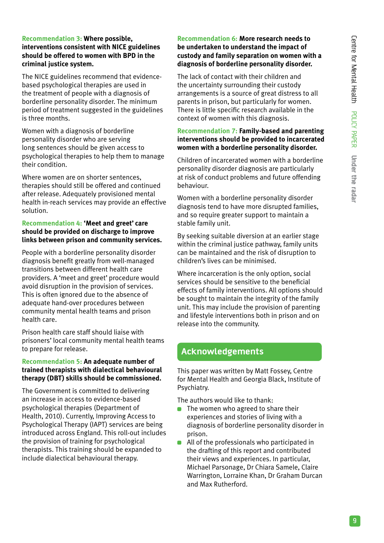#### **Recommendation 3: Where possible, interventions consistent with NICE guidelines should be offered to women with BPD in the criminal justice system.**

The NICE guidelines recommend that evidencebased psychological therapies are used in the treatment of people with a diagnosis of borderline personality disorder. The minimum period of treatment suggested in the guidelines is three months.

Women with a diagnosis of borderline personality disorder who are serving long sentences should be given access to psychological therapies to help them to manage their condition.

Where women are on shorter sentences, therapies should still be offered and continued after release. Adequately provisioned mental health in-reach services may provide an effective solution.

#### **Recommendation 4: 'Meet and greet' care should be provided on discharge to improve links between prison and community services.**

People with a borderline personality disorder diagnosis benefit greatly from well-managed transitions between different health care providers. A 'meet and greet' procedure would avoid disruption in the provision of services. This is often ignored due to the absence of adequate hand-over procedures between community mental health teams and prison health care.

Prison health care staff should liaise with prisoners' local community mental health teams to prepare for release.

## **Recommendation 5: An adequate number of trained therapists with dialectical behavioural therapy (DBT) skills should be commissioned.**

The Government is committed to delivering an increase in access to evidence-based psychological therapies (Department of Health, 2010). Currently, Improving Access to Psychological Therapy (IAPT) services are being introduced across England. This roll-out includes the provision of training for psychological therapists. This training should be expanded to include dialectical behavioural therapy.

#### **Recommendation 6: More research needs to be undertaken to understand the impact of custody and family separation on women with a diagnosis of borderline personality disorder.**

The lack of contact with their children and the uncertainty surrounding their custody arrangements is a source of great distress to all parents in prison, but particularly for women. There is little specific research available in the context of women with this diagnosis.

## **Recommendation 7: Family-based and parenting interventions should be provided to incarcerated women with a borderline personality disorder.**

Children of incarcerated women with a borderline personality disorder diagnosis are particularly at risk of conduct problems and future offending behaviour.

Women with a borderline personality disorder diagnosis tend to have more disrupted families, and so require greater support to maintain a stable family unit.

By seeking suitable diversion at an earlier stage within the criminal justice pathway, family units can be maintained and the risk of disruption to children's lives can be minimised.

Where incarceration is the only option, social services should be sensitive to the beneficial effects of family interventions. All options should be sought to maintain the integrity of the family unit. This may include the provision of parenting and lifestyle interventions both in prison and on release into the community.

# **Acknowledgements**

This paper was written by Matt Fossey, Centre for Mental Health and Georgia Black, Institute of Psychiatry.

The authors would like to thank:

- $\blacksquare$  The women who agreed to share their experiences and stories of living with a diagnosis of borderline personality disorder in prison.
- All of the professionals who participated in  $\blacksquare$ the drafting of this report and contributed their views and experiences. In particular, Michael Parsonage, Dr Chiara Samele, Claire Warrington, Lorraine Khan, Dr Graham Durcan and Max Rutherford.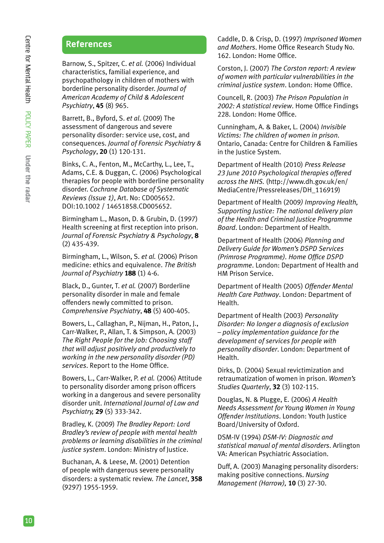# **References**

Barnow, S., Spitzer, C. *et al.* (2006) Individual characteristics, familial experience, and psychopathology in children of mothers with borderline personality disorder. *Journal of American Academy of Child & Adolescent Psychiatry*, **45** (8) 965.

Barrett, B., Byford, S. *et al*. (2009) The assessment of dangerous and severe personality disorder: service use, cost, and consequences. *Journal of Forensic Psychiatry & Psychology*, **20** (1) 120-131.

Binks, C. A., Fenton, M., McCarthy, L., Lee, T., Adams, C.E. & Duggan, C. (2006) Psychological therapies for people with borderline personality disorder. *Cochrane Database of Systematic Reviews (Issue 1)*, Art. No: CD005652. DOI:10.1002 / 14651858.CD005652.

Birmingham L., Mason, D. & Grubin, D. (1997) Health screening at first reception into prison. *Journal of Forensic Psychiatry & Psychology*, **8** (2) 435-439.

Birmingham, L., Wilson, S. *et al.* (2006) Prison medicine: ethics and equivalence. *The British Journal of Psychiatry* **188** (1) 4-6.

Black, D., Gunter, T. *et al.* (2007) Borderline personality disorder in male and female offenders newly committed to prison. *Comprehensive Psychiatry*, **48** (5) 400-405.

Bowers, L., Callaghan, P., Nijman, H., Paton, J., Carr-Walker, P., Allan, T. & Simpson, A. (2003) *The Right People for the Job: Choosing staff that will adjust positively and productively to working in the new personality disorder (PD) services*. Report to the Home Office.

Bowers, L., Carr-Walker, P. *et al.* (2006) Attitude to personality disorder among prison officers working in a dangerous and severe personality disorder unit. *International Journal of Law and Psychiatry,* **29** (5) 333-342.

Bradley, K. (2009) *The Bradley Report: Lord Bradley's review of people with mental health problems or learning disabilities in the criminal justice system*. London: Ministry of Justice.

Buchanan, A. & Leese, M. (2001) Detention of people with dangerous severe personality disorders: a systematic review. *The Lancet*, **358** (9297) 1955-1959.

Caddle, D. & Crisp, D. (1997) *Imprisoned Women and Mothers*. Home Office Research Study No. 162. London: Home Office.

Corston, J. (2007) *The Corston report: A review of women with particular vulnerabilities in the criminal justice system*. London: Home Office.

Councell, R. (2003) *The Prison Population in 2002: A statistical review*. Home Office Findings 228. London: Home Office.

Cunningham, A. & Baker, L. (2004) *Invisible Victims: The children of women in prison.* Ontario, Canada: Centre for Children & Families in the Justice System.

Department of Health (2010) *Press Release 23 June 2010 Psychological therapies offered across the NHS.* (http://www.dh.gov.uk/en/ MediaCentre/Pressreleases/DH\_116919)

Department of Health (2009*) Improving Health, Supporting Justice: The national delivery plan of the Health and Criminal Justice Programme Board*. London: Department of Health.

Department of Health (2006) *Planning and Delivery Guide for Women's DSPD Services (Primrose Programme). Home Office DSPD programme*. London: Department of Health and HM Prison Service.

Department of Health (2005) *Offender Mental Health Care Pathway*. London: Department of Health.

Department of Health (2003) *Personality Disorder: No longer a diagnosis of exclusion – policy implementation guidance for the development of services for people with personality disorder*. London: Department of Health.

Dirks, D. (2004) Sexual revictimization and retraumatization of women in prison. *Women's Studies Quarterly*, **32** (3) 102-115.

Douglas, N. & Plugge, E. (2006) *A Health Needs Assessment for Young Women in Young Offender Institutions*. London: Youth Justice Board/University of Oxford.

DSM-IV (1994) *DSM-IV: Diagnostic and statistical manual of mental disorders*. Arlington VA: American Psychiatric Association.

Duff, A. (2003) Managing personality disorders: making positive connections. *Nursing Management (Harrow),* **10** (3) 27-30.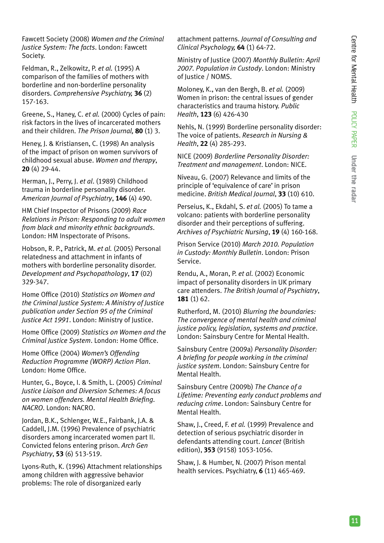Fawcett Society (2008) *Women and the Criminal Justice System: The facts*. London: Fawcett Society.

Feldman, R., Zelkowitz, P. *et al.* (1995) A comparison of the families of mothers with borderline and non-borderline personality disorders. *Comprehensive Psychiatry,* **36** (2) 157-163.

Greene, S., Haney, C. *et al.* (2000) Cycles of pain: risk factors in the lives of incarcerated mothers and their children. *The Prison Journal,* **80** (1) 3.

Heney, J. & Kristiansen, C. (1998) An analysis of the impact of prison on women survivors of childhood sexual abuse. *Women and therapy*, **20** (4) 29-44.

Herman, J., Perry, J. *et al*. (1989) Childhood trauma in borderline personality disorder. *American Journal of Psychiatry*, **146** (4) 490.

HM Chief Inspector of Prisons (2009) *Race Relations in Prison: Responding to adult women from black and minority ethnic backgrounds*. London: HM Inspectorate of Prisons.

Hobson, R. P., Patrick, M. *et al.* (2005) Personal relatedness and attachment in infants of mothers with borderline personality disorder. *Development and Psychopathology*, **17** (02) 329-347.

Home Office (2010) *Statistics on Women and the Criminal Justice System: A Ministry of Justice publication under Section 95 of the Criminal Justice Act 1991*. London: Ministry of Justice.

Home Office (2009) *Statistics on Women and the Criminal Justice System*. London: Home Office.

Home Office (2004) *Women's Offending Reduction Programme (WORP) Action Plan*. London: Home Office.

Hunter, G., Boyce, I. & Smith, L. (2005) *Criminal Justice Liaison and Diversion Schemes: A focus on women offenders. Mental Health Briefing. NACRO*. London: NACRO.

Jordan, B.K., Schlenger, W.E., Fairbank, J.A. & Caddell, J.M. (1996) Prevalence of psychiatric disorders among incarcerated women part II. Convicted felons entering prison. *Arch Gen Psychiatry*, **53** (6) 513-519.

Lyons-Ruth, K. (1996) Attachment relationships among children with aggressive behavior problems: The role of disorganized early

attachment patterns. *Journal of Consulting and Clinical Psychology,* **64** (1) 64-72.

Ministry of Justice (2007) *Monthly Bulletin: April 2007. Population in Custody*. London: Ministry of Justice / NOMS.

Moloney, K., van den Bergh, B. *et al.* (2009) Women in prison: the central issues of gender characteristics and trauma history. *Public Health*, **123** (6) 426-430

Nehls, N. (1999) Borderline personality disorder: The voice of patients. *Research in Nursing & Health*, **22** (4) 285-293.

NICE (2009) *Borderline Personality Disorder: Treatment and management*. London: NICE.

Niveau, G. (2007) Relevance and limits of the principle of 'equivalence of care' in prison medicine. *British Medical Journal*, **33** (10) 610.

Perseius, K., Ekdahl, S. *et al.* (2005) To tame a volcano: patients with borderline personality disorder and their perceptions of suffering. *Archives of Psychiatric Nursing*, **19** (4) 160-168.

Prison Service (2010) *March 2010. Population in Custody: Monthly Bulletin*. London: Prison Service.

Rendu, A., Moran, P. *et al*. (2002) Economic impact of personality disorders in UK primary care attenders. *The British Journal of Psychiatry*, **181** (1) 62.

Rutherford, M. (2010) *Blurring the boundaries: The convergence of mental health and criminal justice policy, legislation, systems and practice*. London: Sainsbury Centre for Mental Health.

Sainsbury Centre (2009a) *Personality Disorder: A briefing for people working in the criminal justice system*. London: Sainsbury Centre for Mental Health.

Sainsbury Centre (2009b) *The Chance of a Lifetime: Preventing early conduct problems and reducing crime*. London: Sainsbury Centre for Mental Health.

Shaw, J., Creed, F. *et al.* (1999) Prevalence and detection of serious psychiatric disorder in defendants attending court. *Lancet* (British edition), **353** (9158) 1053-1056.

Shaw, J. & Humber, N. (2007) Prison mental health services. Psychiatry, **6** (11) 465-469.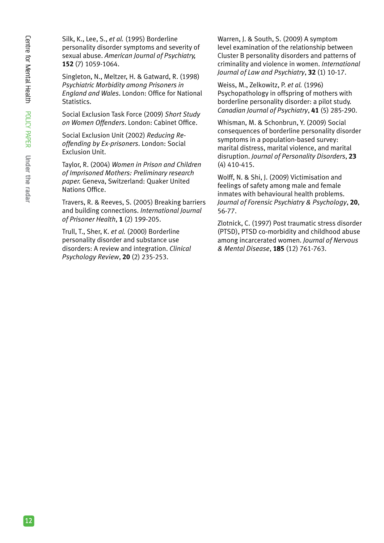Silk, K., Lee, S., *et al.* (1995) Borderline personality disorder symptoms and severity of sexual abuse. *American Journal of Psychiatry,* **152** (7) 1059-1064.

Singleton, N., Meltzer, H. & Gatward, R. (1998) *Psychiatric Morbidity among Prisoners in England and Wales*. London: Office for National Statistics.

Social Exclusion Task Force (2009) *Short Study on Women Offenders*. London: Cabinet Office.

Social Exclusion Unit (2002) *Reducing Reoffending by Ex-prisoners*. London: Social Exclusion Unit.

Taylor, R. (2004) *Women in Prison and Children of Imprisoned Mothers: Preliminary research paper.* Geneva, Switzerland: Quaker United Nations Office.

Travers, R. & Reeves, S. (2005) Breaking barriers and building connections. *International Journal of Prisoner Health*, **1** (2) 199-205.

Trull, T., Sher, K. *et al.* (2000) Borderline personality disorder and substance use disorders: A review and integration. *Clinical Psychology Review*, **20** (2) 235-253.

Warren, J. & South, S. (2009) A symptom level examination of the relationship between Cluster B personality disorders and patterns of criminality and violence in women. *International Journal of Law and Psychiatry*, **32** (1) 10-17.

Weiss, M., Zelkowitz, P. *et al.* (1996) Psychopathology in offspring of mothers with borderline personality disorder: a pilot study. *Canadian Journal of Psychiatry*, **41** (5) 285-290.

Whisman, M. & Schonbrun, Y. (2009) Social consequences of borderline personality disorder symptoms in a population-based survey: marital distress, marital violence, and marital disruption. *Journal of Personality Disorders*, **23** (4) 410-415.

Wolff, N. & Shi, J. (2009) Victimisation and feelings of safety among male and female inmates with behavioural health problems. *Journal of Forensic Psychiatry & Psychology*, **20**, 56-77.

Zlotnick, C. (1997) Post traumatic stress disorder (PTSD), PTSD co-morbidity and childhood abuse among incarcerated women. *Journal of Nervous & Mental Disease*, **185** (12) 761-763.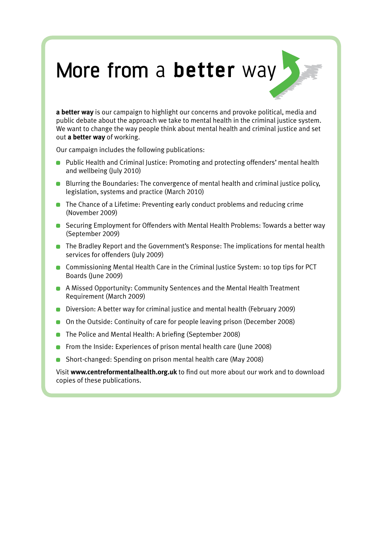# More from a **better** way

**a better way** is our campaign to highlight our concerns and provoke political, media and public debate about the approach we take to mental health in the criminal justice system. We want to change the way people think about mental health and criminal justice and set out **a better way** of working.

Our campaign includes the following publications:

- **Public Health and Criminal Justice: Promoting and protecting offenders' mental health** and wellbeing (July 2010)
- Blurring the Boundaries: The convergence of mental health and criminal justice policy, legislation, systems and practice (March 2010)
- **The Chance of a Lifetime: Preventing early conduct problems and reducing crime** (November 2009)
- Securing Employment for Offenders with Mental Health Problems: Towards a better way (September 2009)
- **The Bradley Report and the Government's Response: The implications for mental health** services for offenders (July 2009)
- **Commissioning Mental Health Care in the Criminal Justice System: 10 top tips for PCT** Boards (June 2009)
- A Missed Opportunity: Community Sentences and the Mental Health Treatment Requirement (March 2009)
- Diversion: A better way for criminal justice and mental health (February 2009)
- On the Outside: Continuity of care for people leaving prison (December 2008)
- **The Police and Mental Health: A briefing (September 2008)**
- **From the Inside: Experiences of prison mental health care (June 2008)**
- Short-changed: Spending on prison mental health care (May 2008)

Visit **www.centreformentalhealth.org.uk** to find out more about our work and to download copies of these publications.